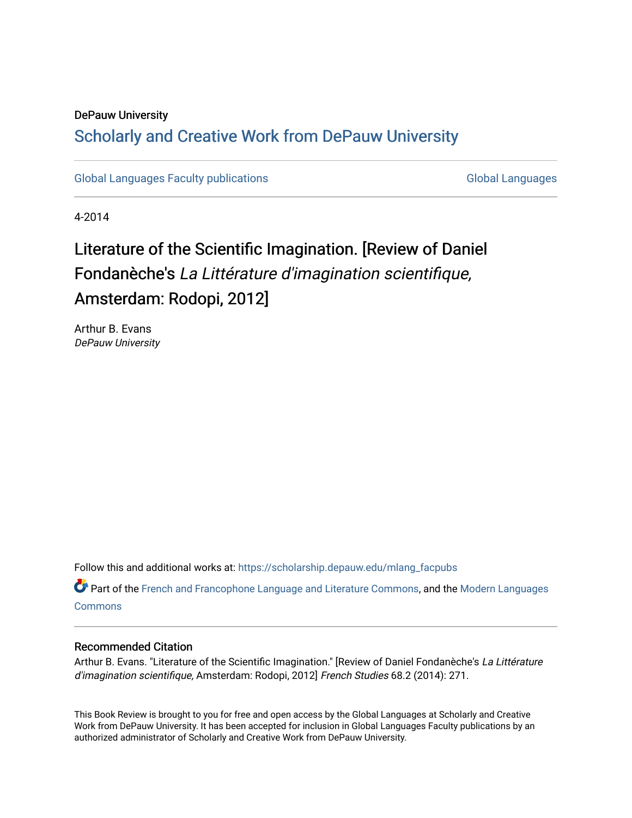## DePauw University Scholarly and [Creative Work from DePauw Univ](https://scholarship.depauw.edu/)ersity

[Global Languages Faculty publications](https://scholarship.depauw.edu/mlang_facpubs) [Global Languages](https://scholarship.depauw.edu/modernlanguages) Global Languages

4-2014

# Literature of the Scientific Imagination. [Review of Daniel Fondanèche's La Littérature d'imagination scientifique, Amsterdam: Rodopi, 2012]

Arthur B. Evans DePauw University

Follow this and additional works at: [https://scholarship.depauw.edu/mlang\\_facpubs](https://scholarship.depauw.edu/mlang_facpubs?utm_source=scholarship.depauw.edu%2Fmlang_facpubs%2F7&utm_medium=PDF&utm_campaign=PDFCoverPages)

Part of the [French and Francophone Language and Literature Commons,](https://network.bepress.com/hgg/discipline/463?utm_source=scholarship.depauw.edu%2Fmlang_facpubs%2F7&utm_medium=PDF&utm_campaign=PDFCoverPages) and the [Modern Languages](https://network.bepress.com/hgg/discipline/1130?utm_source=scholarship.depauw.edu%2Fmlang_facpubs%2F7&utm_medium=PDF&utm_campaign=PDFCoverPages)  **[Commons](https://network.bepress.com/hgg/discipline/1130?utm_source=scholarship.depauw.edu%2Fmlang_facpubs%2F7&utm_medium=PDF&utm_campaign=PDFCoverPages)** 

### Recommended Citation

Arthur B. Evans. "Literature of the Scientific Imagination." [Review of Daniel Fondanèche's La Littérature d'imagination scientifique, Amsterdam: Rodopi, 2012] French Studies 68.2 (2014): 271.

This Book Review is brought to you for free and open access by the Global Languages at Scholarly and Creative Work from DePauw University. It has been accepted for inclusion in Global Languages Faculty publications by an authorized administrator of Scholarly and Creative Work from DePauw University.